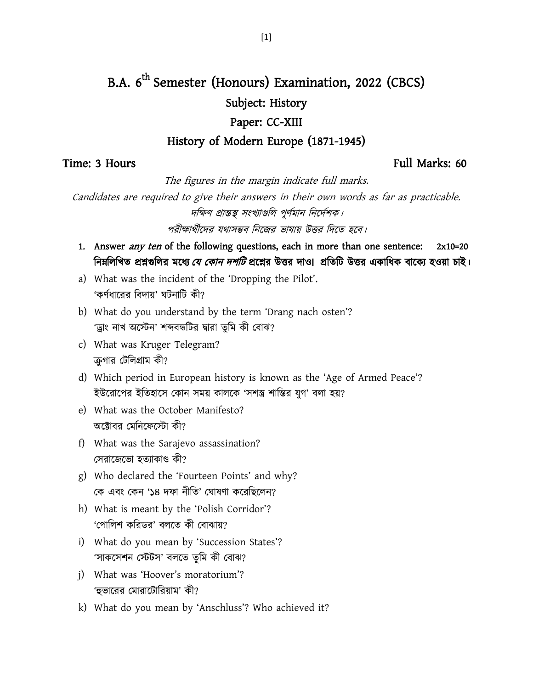# B.A. 6<sup>th</sup> Semester (Honours) Examination, 2022 (CBCS) Subject: History

### Paper: CC-XIII

### History of Modern Europe (1871-1945)

### Time: 3 Hours Full Marks: 60

The figures in the margin indicate full marks.

Candidates are required to give their answers in their own words as far as practicable. দক্ষিণ প্রান্তস্থ সংখ্যাগুলি পূর্ণমান নির্দেশক।

পরীক্ষার্থীদের যথাসম্ভব নিজের ভাষায় উত্তর দিতে হবে।

- 1. Answer *any ten* of the following questions, each in more than one sentence: 2x10=20 নিমলিখিত প্রশ্নগুলির মধ্যে *যে কোন দশটি* প্রশ্নের উত্তর দাও। প্রতিটি উত্তর একাধিক বাক্যে হওয়া চাই।
- a) What was the incident of the 'Dropping the Pilot'. 'কর্ণধারের বিদায়' ঘটনাটি কী?
- b) What do you understand by the term 'Drang nach osten'? 'ড্ৰাং নাখ অস্টেন' শব্দবন্ধটির দ্বারা তুমি কী বোঝ?
- c) What was Kruger Telegram? ক্রগার টেলিগ্রাম কী?
- d) Which period in European history is known as the 'Age of Armed Peace'? ইউরোপের ইতিহাসে কোন সময় কালকে 'সশস্ত্র শান্তির যগ' বলা হয়?
- e) What was the October Manifesto? অক্টোবর মেনিফেস্টো কী?
- f) What was the Sarajevo assassination? সেরাজেভো হত্যাকাণ্ড কী?
- g) Who declared the 'Fourteen Points' and why? বক এফাং বকন '১৪ দপা নীবত' বঘালর্া করযবিররন?
- h) What is meant by the 'Polish Corridor'? 'পোলিশ করিডর' বলতে কী বোঝায়?
- i) What do you mean by 'Succession States'? 'সাকসেশন স্টেটস' বলতে তুমি কী বোঝ?
- j) What was 'Hoover's moratorium'? 'হুভারের মোরাটোরিয়াম' কী?
- k) What do you mean by 'Anschluss'? Who achieved it?